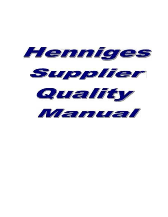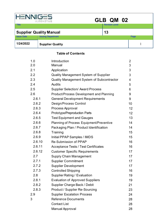| HENN              | A ITON OTIVE                   | GLB QM 02             |      |
|-------------------|--------------------------------|-----------------------|------|
| <b>Title</b>      |                                | <b>Revision Level</b> |      |
|                   | <b>Supplier Quality Manual</b> | 13                    |      |
| <b>Issue Date</b> | <b>Issuing Department</b>      |                       | Page |
| 1/24/2022         | <b>Supplier Quality</b>        |                       |      |

# **Table of Contents**

| 1.0    | Introduction                                      | 2  |
|--------|---------------------------------------------------|----|
| 2.0    | Manual                                            | 3  |
| 2.1    | Application                                       | 3  |
| 2.2    | Quality Management System of Supplier             | 3  |
| 2.3    | <b>Quality Management System of Subcontractor</b> | 4  |
| 2.4    | <b>Audits</b>                                     | 5  |
| 2.5    | <b>Supplier Selection/ Award Process</b>          | 6  |
| 2.6    | <b>Product/Process Development and Planning</b>   | 9  |
| 2.6.1  | <b>General Development Requirements</b>           | 9  |
| 2.6.2  | Design/Process Control                            | 10 |
| 2.6.3  | Process Approval                                  | 12 |
| 2.6.4  | Prototype/Preproduction Parts                     | 12 |
| 2.6.5  | <b>Test Equipment and Gauges</b>                  | 13 |
| 2.6.6  | <b>Planning of Process Equipment/Preventive</b>   | 14 |
| 2.6.7  | Packaging Plan / Product Identification           | 14 |
| 2.6.8  | Training                                          | 15 |
| 2.6.9  | Initial PPAP Samples / IMDS                       | 15 |
| 2.6.10 | <b>Re-Submission of PPAP</b>                      | 16 |
| 2.6.11 | <b>Acceptance Tests / Test Certificates</b>       | 16 |
| 2.6.12 | <b>Customer Specific Requirements</b>             | 17 |
| 2.7    | <b>Supply Chain Management</b>                    | 17 |
| 2.7.1  | <b>Supplier Commitment</b>                        | 17 |
| 2.7.2  | <b>Supplier Development</b>                       | 17 |
| 2.7.3  | <b>Controlled Shipping</b>                        | 16 |
| 2.8    | <b>Supplier Rating / Evaluation</b>               | 19 |
| 2.8.1  | <b>Evaluation of Approved Suppliers</b>           | 19 |
| 2.8.2  | Supplier Charge Back / Debit                      | 21 |
| 2.8.3  | <b>Product / Supplier Re-Sourcing</b>             | 23 |
| 2.9    | <b>Supplier Escalation Process</b>                | 24 |
| 3      | <b>Reference Documents</b>                        | 28 |
|        | <b>Contact List</b>                               | 28 |
|        | <b>Manual Approval</b>                            | 28 |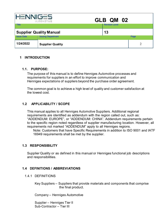| <b>HENNIGES</b>   | AUTOMOTIVE                     | GLB QM 02             |      |
|-------------------|--------------------------------|-----------------------|------|
| <b>Title</b>      |                                | <b>Revision Level</b> |      |
|                   | <b>Supplier Quality Manual</b> | 13                    |      |
| <b>Issue Date</b> | <b>Issuing Department</b>      |                       | Page |
| 1/24/2022         | <b>Supplier Quality</b>        |                       | ∍    |

## **1 INTRODUCTION**

#### **1.1. PURPOSE:**

The purpose of this manual is to define Henniges Automotive processes and requirements for suppliers in an effort to improve communication and Henniges expectations of suppliers beyond the purchase order agreement.

The common goal is to achieve a high level of quality and customer satisfaction at the lowest cost.

### **1.2 APPLICABILITY / SCOPE**

This manual applies to all Henniges Automotive Suppliers. Additional regional requirements are identified as addendum with the region called out, such as: "ADDENDUM: EUROPE", or "ADDENDUM: CHINA". Addendum requirements pertain to the specific region noted regardless of supplier manufacturing location. However, all requirements not marked "ADDENDUM" apply to all Henniges regions.

Note: Customers that have Specific Requirements in addition to ISO 9001 and IATF 16949 requirements shall be met by the supplier.

### **1.3 RESPONSIBILITY**

Supplier Quality or as defined in this manual or Henniges functional job descriptions and responsibilities.

### **1.4 DEFINITIONS / ABBREVIATIONS**

1.4.1 DEFINITIONS

Key Suppliers – Suppliers that provide materials and components that comprise the final product.

Company – Henniges Automotive

Supplier – Henniges Tier II Sub-Contractor – Tier III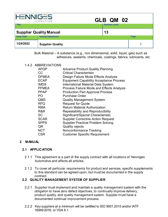|                   | $-5$<br>AUTOMOTIVE             | GLB QM 02             |      |
|-------------------|--------------------------------|-----------------------|------|
| <b>Title</b>      |                                | <b>Revision Level</b> |      |
|                   | <b>Supplier Quality Manual</b> | 13                    |      |
| <b>Issue Date</b> | <b>Issuing Department</b>      |                       | Page |
| 1/24/2022         | <b>Supplier Quality</b>        |                       | 3    |

Bulk Material – A substance (e.g., non dimensional, solid, liquid, gas) such as adhesives, sealants, chemicals, coatings, fabrics, lubricants, etc.

#### 1.4.2 ABBREVIATIONS

| <b>APQP</b>  | <b>Advance Product Quality Planning</b>        |
|--------------|------------------------------------------------|
| СC           | <b>Critical Characteristic</b>                 |
| <b>DFMEA</b> | Design Failure Mode Effects Analysis           |
| <b>ECAP</b>  | <b>Equipment Capability Acceptance Process</b> |
| <b>IMDS</b>  | <b>International Material Data System</b>      |
| <b>PFMEA</b> | Process Failure Mode and Effects Analysis      |
| <b>PPAP</b>  | <b>Production Part Approval Process</b>        |
| PO           | <b>Purchase Order</b>                          |
| QMS          | <b>Quality Management System</b>               |
| <b>RFQ</b>   | <b>Request for Quote</b>                       |
| <b>RMA</b>   | <b>Return Material Authorization</b>           |
| R&R          | Repeatability and Reproducibility              |
| SC           | Significant/Special Characteristic             |
| <b>SCAR</b>  | <b>Supplier Corrective Action Request</b>      |
| <b>SPPS</b>  | <b>Supplier Practical Problem Solving</b>      |
| QR           | <b>Quality rejects</b>                         |
| <b>NCT</b>   | Nonconformance Tracking                        |
| <b>CSR</b>   | <b>Customer Specific Requirement</b>           |
|              |                                                |

#### **2 MANUAL**

#### **2.1 APPLICATION**

- 2.1.1 This agreement is a part of the supply contract with all locations of Henniges Automotive and affects all articles.
- 2.1.2 To cover all particular requirements for product and services, specific supplements to this standard can be agreed upon, but must be documented in the supply contract.

## **2.2 QUALITY MANAGEMENT SYSTEM OF SUPPLIER**

- 2.2.1 Supplier must implement and maintain a quality management system with the obligation to have zero defect objectives, to continually improve delivery, product quality, and quality management system. Supplier must have a documented continual improvement process.
- 2.2.2 Key suppliers at a minimum will be certified to ISO 9001:2015 and/or IATF 16949:2016, or VDA 6.1.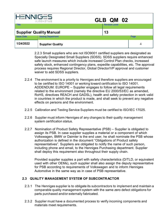| HEN                                  | AUTOMOTIVE                | GLB QM 02             |      |
|--------------------------------------|---------------------------|-----------------------|------|
| <b>Title</b>                         |                           | <b>Revision Level</b> |      |
| 13<br><b>Supplier Quality Manual</b> |                           |                       |      |
| <b>Issue Date</b>                    | <b>Issuing Department</b> |                       | Page |
| 1/24/2022                            | <b>Supplier Quality</b>   |                       | 4    |

2.2.3 Small suppliers who are not ISO9001 certified suppliers are designated as Specially Designated Small Suppliers (SDSS). SDSS suppliers require enhanced safe launch measures which include increased Control Plan checks, increased safety stock, enhanced contingency plans, expedite capabilities, etc. The approval process requires Regional Director, Global Director/VP approval and customer waiver to add SDSS suppliers.

- 2.2.4 The environment is a priority to Henniges and therefore suppliers are encouraged to be certified to ISO 14001 or working toward certification to ISO 14001. ADDENDUM: EUROPE – Supplier engages to follow all legal requirements related to the environment (namely the directive EU 2000/53/EC as amended, RoHS, directives REACH and GADSL), health and safety protection in work valid in countries in which the product is made, and shall seek to prevent any negative effects on persons and the environment.
- 2.2.5 Calibration and Testing Service Suppliers must be certified to ISO/IEC 17025.
- 2.2.6 Supplier must inform Henniges of any changes to their quality management system certification status.
- 2.2.7 Nomination of Product Safety Representative (PSB) Supplier is obligated to assign its PSB. In case supplier supplies a material or a component of which Volkswagen, BMW or Daimler is the end user, he shall nominate the PSB whose authorization is defined in the document "Obligations of Product safety representatives". Suppliers are obligated to notify the name of such person, including phone and email, to the Henniges Purchasing department. Supplier shall deploy this requirement also throughout their supply chain.

Provided supplier supplies a part with safety characteristics (D/TLD, or equivalent used with other OEMs), such supplier shall also assign the deputy representative for PSB according to requirements of Volkswagen and to inform Henniges Automotive in the same way as in case of PSB representative.

### **2.3 QUALITY MANAGEMENT SYSTEM OF SUBCONTRACTOR**

- 2.3.1 The Henniges supplier is to obligate its subcontractors to implement and maintain a comparable quality management system with the same zero defect obligations for parts purchased and/or externally fabricated.
- 2.3.2 Supplier must have a documented process to verify incoming components and materials meet requirements.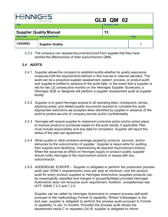| GLB QM 02<br>A ITON OTIVE            |                           |                       |      |  |
|--------------------------------------|---------------------------|-----------------------|------|--|
| <b>Title</b>                         |                           | <b>Revision Level</b> |      |  |
| <b>Supplier Quality Manual</b><br>13 |                           |                       |      |  |
| <b>Issue Date</b>                    | <b>Issuing Department</b> |                       | Page |  |
| 1/24/2022                            | <b>Supplier Quality</b>   |                       | 5    |  |

2.3.3 The company can request documented proof from supplier that they have verified the effectiveness of their subcontractors QMS.

## **2.4 AUDITS**

- 2.4.1 Supplier allows the company to establish audits whether its quality assurance measures fulfil the requirements defined in this manual or national standard. The audit can be a proactive supplier assessment, system, process, or product audit and supplier is notified in advance of the audit date. In the event that a supplier is red for two (2) consecutive months on the Henniges Supplier Scorecard, a Henniges SQE or designee will perform a supplier Assessment audit at supplier facility.
- 2.4.2 Supplier is to grant Henniges access to all operating sites, checkpoints, stores, adjoining areas, and related quality documents required to complete the audit. Appropriate restrictions are accepted when identified by supplier in advance of the audit to protect security of company secrets and/or confidentiality.
- 2.4.3 Henniges will require supplier to implement corrective action and/or action plans to improve product or processes based on the audit results, if applicable. Plan must include responsibility and due date for completion. Supplier will report the status of the plan per agreement.
- 2.4.4 When quality or other problems emerge caused by products, services, and/or deliveries by the subcontractor of supplier. Supplier is responsible for auditing their supplier and identifying, implementing all required improvement actions. When the issue has an effect on Henniges supply or product quality, supplier should notify Henniges of the improvement actions or issues with any subcontractor.
- 2.4.5 ADDENDUM: EUROPE Supplier is obligated to perform the production process audit (per VDA6.3 requirements) once per year at minimum, and the product audit for every product supplied to Henniges Automotive (supplied products can be meaningfully classified and merged in groups/families) provided Henniges Automotive does not renounce such requirement. Auditors´ competencies see IATF 16949 7.2.3 and 7.2.4.

Supplier can be called by Henniges Automotive to present process self-audit pursuant to the methodology Formel Q capability. Where Volkswagen is the end user, supplier is obligated to perform the process audit pursuant to Formel Q capability 1x per 12 months. Provided the process audit shows the assessment result C or repeated (2x) B, supplier is obligated to inform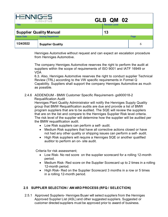|                                      | AUTOMOTIVE                | GLB QM 02             |      |
|--------------------------------------|---------------------------|-----------------------|------|
| <b>Title</b>                         |                           | <b>Revision Level</b> |      |
| <b>Supplier Quality Manual</b><br>13 |                           |                       |      |
| <b>Issue Date</b>                    | <b>Issuing Department</b> |                       | Page |
| 1/24/2022                            | <b>Supplier Quality</b>   |                       | 6    |

Henniges Automotive without request and can expect an escalation procedure from Henniges Automotive.

The company Henniges Automotive reserves the right to perform the audit at suppliers within the scope of requirements of ISO 9001 and IATF 16949 or VDA

6.3. Also, Henniges Automotive reserves the right to conduct supplier Technical Review (TRL) according to the VW specific requirements in Formel Q Capability. Suppliers shall support the company Henniges Automotive as much as possible.

### 2.4.6 ADDENDUM - BMW Customer Specific Requirement- gs900018-2 Requalification Audit

Henniges Plant Quality Administrator will notify the Henniges Supply Quality group that BMW Requalification audits are due and provide a list of BMW program suppliers that are to be audited. The SQE will review the suppliers that are on the list and compare to the Henniges Supplier Risk level criteria. The risk level of the supplier will determine how the supplier will be audited per the BMW requalification audit.

- Low Risk suppliers can perform a self- audit.
- Medium Risk suppliers that have all corrective actions closed or have not had any other quality or shipping issues can perform a self- audit.
- High Risk suppliers will require a Henniges SQE or another qualified auditor to perform an on- site audit.

Criteria for risk assessment;

- Low Risk- No red score on the supplier scorecard for a rolling 12-month period.
- Medium Risk- Red score on the Supplier Scorecard up to 2 times in a rolling 12-month period.
- High Risk- Red on the Supplier Scorecard 3 months in a row or 5 times in a rolling 12-month period.

### **2.5 SUPPLIER SELECTION / AWARD PROCESS (RFQ / SELECTION)**

2.5.1 Approved Suppliers- Henniges Buyer will select suppliers from the Henniges Approved Supplier List (ASL) and other suggested suppliers. Suggested or customer directed suppliers must be approved prior to award of business.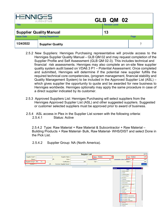| <b>HENNIGES</b><br><b>Title</b> | AUTOMOTIVE                                                  | GLB QM 02<br><b>Revision Level</b> |      |
|---------------------------------|-------------------------------------------------------------|------------------------------------|------|
| <b>Issue Date</b>               | <b>Supplier Quality Manual</b><br><b>Issuing Department</b> | 13                                 | Page |
| 1/24/2022                       | <b>Supplier Quality</b>                                     |                                    | 7    |

- 2.5.2 New Suppliers: Henniges Purchasing representative will provide access to the Henniges Supplier Quality Manual – GLB QM 02 and may request completion of the Supplier Profile and Self Assessment (GLB QM 02-3). This includes technical and financial risk assessments. Henniges may also complete an on-site New supplier quality system audit based on VDA6.3 P1 – Potential Assessment. Once completed and submitted, Henniges will determine if the potential new supplier fulfills the required technical core competencies, (program management, financial stability and Quality Management System) to be included in the Approved Supplier List (ASL) – which gives supplier the opportunity to quote and be awarded for new business to Henniges worldwide. Henniges optionally may apply the same procedure in case of a direct supplier indicated by its customer.
- 2.5.3 Approved Suppliers List: Henniges Purchasing will select suppliers from the Henniges Approved Supplier List (ASL) and other suggested suppliers. Suggested or customer selected suppliers must be approved prior to award of business.
- 2.5.4 ASL access in Plex in the Supplier List screen with the following criteria: 2.5.4.1 Status: Active

2.5.4.2 Type: Raw Material + Raw Material & Subcontractor + Raw Material – Building Products + Raw Material- Bulk, Raw Material- WHS/DIST and select Done in the Pick List.

2.5.4.2 Supplier Group: NA (North America).

|                                    |                        | <b>Supplier List</b> |                         |                         |                  |                                                         |                              | $\boxed{a}$ X |
|------------------------------------|------------------------|----------------------|-------------------------|-------------------------|------------------|---------------------------------------------------------|------------------------------|---------------|
| Supplier Code*:                    | Supplier Name:         |                      |                         | Status: Multiple        | 菛                |                                                         | Type: Multiple               | 西             |
| Buyer:                             | Duns:                  |                      | <b>Supplier Rating:</b> | $\overline{\mathbf{v}}$ |                  | Commodity Code (Category):                              |                              | 商             |
| Supplier Group*: NA<br>$\check{ }$ | Certification:         | M)                   | City*:                  |                         |                  |                                                         | State":                      | 商             |
| 两<br>Country*:                     | Common Supplier Name*: |                      |                         |                         |                  |                                                         |                              | Search        |
|                                    |                        |                      |                         |                         |                  |                                                         |                              |               |
|                                    |                        |                      |                         |                         | <b>Pick List</b> |                                                         | <b>Blank</b>                 | ⊠             |
|                                    |                        |                      |                         |                         |                  | <b>Building Leases</b>                                  |                              |               |
|                                    |                        |                      |                         |                         |                  | Capital                                                 |                              |               |
|                                    |                        |                      |                         |                         |                  | Capital & Tooling<br><b>Customs Broker</b>              |                              |               |
|                                    |                        |                      |                         |                         |                  | <b>Donations</b>                                        |                              |               |
|                                    |                        |                      |                         |                         |                  | Employee                                                |                              |               |
|                                    |                        |                      |                         |                         |                  | <b>External Candidates</b>                              |                              |               |
|                                    |                        |                      |                         |                         |                  | Intercompany                                            |                              |               |
|                                    |                        |                      |                         |                         |                  | Logistics Carrier                                       | Intercompany & Subcontractor |               |
|                                    |                        |                      |                         |                         |                  | MRO                                                     |                              |               |
|                                    |                        |                      |                         |                         |                  | Packaging                                               |                              |               |
|                                    |                        |                      |                         |                         |                  | Payroll                                                 |                              |               |
|                                    |                        |                      |                         |                         |                  | Prototype                                               |                              |               |
|                                    |                        |                      |                         |                         |                  | <b>TZ Raw Material</b>                                  |                              |               |
|                                    |                        |                      |                         |                         |                  | Raw Material & Subcontractor                            |                              |               |
|                                    |                        |                      |                         |                         |                  | Raw Material - Building Products<br>Raw Material - Bulk |                              |               |
|                                    |                        |                      |                         |                         |                  | Raw Material - WHS/DIST                                 |                              |               |
|                                    |                        |                      |                         |                         |                  | <b>Services</b>                                         |                              |               |
|                                    |                        |                      |                         |                         |                  | Subcontractor                                           |                              |               |
|                                    |                        |                      |                         |                         |                  | $\Box$ Supplies                                         |                              |               |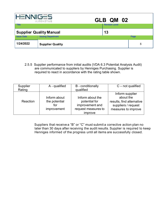|                                | NIG-5<br>AUTOMOTIVE       | GLB QM 02             |      |
|--------------------------------|---------------------------|-----------------------|------|
| <b>Title</b>                   |                           | <b>Revision Level</b> |      |
| <b>Supplier Quality Manual</b> |                           | 13                    |      |
| <b>Issue Date</b>              | <b>Issuing Department</b> |                       | Page |
| 1/24/2022                      | <b>Supplier Quality</b>   |                       | 8    |

2.5.5 Supplier performance from initial audits (VDA 6.3 Potential Analysis Audit) are communicated to suppliers by Henniges Purchasing. Supplier is required to react in accordance with the rating table shown.

| Supplier<br>Rating | A - qualified                                       | <b>B</b> - conditionally<br>qualified                                                  | $C$ – not qualified                                                                                     |
|--------------------|-----------------------------------------------------|----------------------------------------------------------------------------------------|---------------------------------------------------------------------------------------------------------|
| Reaction           | Inform about<br>the potential<br>for<br>improvement | Inform about the<br>potential for<br>improvement and<br>request measures to<br>improve | Inform supplier<br>about the<br>results, find alternative<br>suppliers / request<br>measures to improve |

Suppliers that receive a "B" or "C" must submit a corrective action plan no later than 30 days after receiving the audit results. Supplier is required to keep Henniges informed of the progress until all items are successfully closed.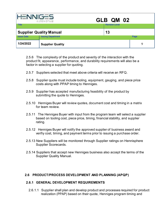| <b>HENNIGES</b><br>GLB QM 02<br>A ITON OTIVE |                                |                       |             |
|----------------------------------------------|--------------------------------|-----------------------|-------------|
| <b>Title</b>                                 |                                | <b>Revision Level</b> |             |
|                                              | <b>Supplier Quality Manual</b> | 13                    |             |
| <b>Issue Date</b>                            | <b>Issuing Department</b>      |                       | Page        |
| 1/24/2022                                    | <b>Supplier Quality</b>        |                       | $\mathbf Q$ |

2.5.6 The complexity of the product and severity of the interaction with the product fit, appearance, performance, and durability requirements will also be a factor in selecting a supplier for quoting.

- 2.5.7 Suppliers selected that meet above criteria will receive an RFQ.
- 2.5.8 Supplier quote must include tooling, equipment, gauging, and piece price costs along with PPAP timing to Henniges.
- 2.5.9 Supplier has accepted manufacturing feasibility of the product by submitting the quote to Henniges.
- 2.5.10 Henniges Buyer will review quotes, document cost and timing in a matrix for team review.
- 2.5.11 The Henniges Buyer with input from the program team will select a supplier based on tooling cost, piece price, timing, financial stability, and supplier rating.
- 2.5.12 Henniges Buyer will notify the approved supplier of business award and verifiy cost, timing, and payment terms prior to issuing a purchase order.
- 2.5.13 New Suppliers will be monitored through Supplier ratings on Hennisphere Supplier Scorecards.
- 2.5.14 Suppliers that accept new Henniges business also accept the terms of the Supplier Quality Manual.

### **2.6 PRODUCT/PROCESS DEVELOPMENT AND PLANNING (APQP)**

### **2.6.1 GENERAL DEVELOPMENT REQUIREMENTS**

2.6.1.1 Supplier shall plan and develop product and processes required for product realization (PPAP) based on their quote, Henniges program timing and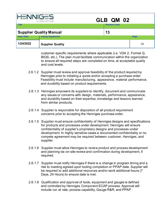| GLB QM 02<br>A ITON OTIVE            |                           |                       |      |
|--------------------------------------|---------------------------|-----------------------|------|
| <b>Title</b>                         |                           | <b>Revision Level</b> |      |
| <b>Supplier Quality Manual</b><br>13 |                           |                       |      |
| <b>Issue Date</b>                    | <b>Issuing Department</b> |                       | Page |
| 1/24/2022                            | <b>Supplier Quality</b>   |                       | 10   |

customer specific requirements where applicable (i.e. VDA 2, Formel Q, BIQS, etc.). The plan must facilitate communication within the organization to ensure all required steps are completed on time, at acceptable quality and cost levels.

- 2.6.1.2 Supplier must review and approve feasibility of the product required by Henniges prior to initiating a quote and/or accepting a purchase order. Feasibility must include manufacturing, appearance, material performance, and durability based on product requirements.
- 2.6.1.3 Henniges empowers its suppliers to identify, document and communicate any issues or concerns with design, materials, performance, appearance, and durability based on their expertise, knowledge and lessons learned from similar products.
- 2.6.1.4 Supplier is responsible for disposition of all product requirement concerns prior to accepting the Henniges purchase order.
- 2.6.1.5 Supplier must ensure confidentiality of Henniges designs and specifications for products and processes under development. Henniges will ensure confidentiality of supplier's proprietary designs and processes under development. In highly sensitive cases a documented confidentiality or no compete agreement may be required between customer, Henniges, and supplier.
- 2.6.1.6 Supplier must allow Henniges to review product and process development and planning via on-site review and confirmation during development, if required.
- 2.6.1.7 Supplier must notify Henniges if there is a change in program timing and a risk to meeting agreed upon tooling completion or PPAP date. Supplier will be required to add additional resources and/or work additional hours (7 Days, 24 Hours) to ensure date is met.
- 2.6.1.8 Qualification and approval of tools, equipment and gauges is defined and controlled by Henniges Component ECAP process. Approval will include run at rate, process capability, Gauge R&R, and PPAP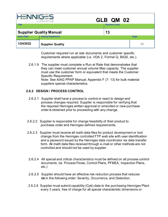| <b>HENNIGES</b><br>GLB QM 02<br>AUTOMOTIVE |                           |                       |      |
|--------------------------------------------|---------------------------|-----------------------|------|
| <b>Title</b>                               |                           | <b>Revision Level</b> |      |
| <b>Supplier Quality Manual</b>             |                           | 13                    |      |
| <b>Issue Date</b>                          | <b>Issuing Department</b> |                       | Page |
| 1/24/2022                                  | <b>Supplier Quality</b>   |                       | 11   |

Customer required run at rate documents and customer specific requirements where applicable (i.e. VDA 2, Formel Q, BIQS, etc.).

2.6.1.9 The supplier must complete a Run at Rate that demonstrates that they can meet customer annual volume Max capacity. The supplier must use the customer form or equivalent that meets the Customer Specific Requirement. Note: See AIAG PPAP Manual; Appendix F (7- 13) for bulk material suppliers special characteristics.

### **2.6.2 DESIGN / PROCESS CONTROL**

- 2.6.2.1 Supplier shall have a process to control or react to design and process changes required. Supplier is responsible for verifying that the required Henniges written approval or amended or new purchase order is obtained prior to proceeding with any change.
- 2.6.2.2 Supplier is responsible for change feasibility of their product to purchase order and Henniges defined requirements.
- 2.6.2.3 Supplier must receive all math data files for product development or tool change from the Henniges controlled FTP web site with user identification and a password issued by the Henniges data coordinator via data transfer form. All math data files received through e-mail or other methods are not controlled and should not be used by supplier.
- 2.6.2.4 All special and critical characteristics must be defined on all process control documents. (ie. Process Flows, Control Plans, PFMEA, Inspection Plans, etc.)
- 2.6.2.5 Supplier should have an effective risk reduction process that reduces risk in the following order: Severity, Occurrence, and Detection.
- 2.6.2.6 Supplier must submit capability (Cpk) data to the purchasing Henniges Plant every 3 years, free of charge for all special characteristic dimensions or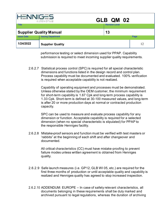| <b>HENNIGES</b>   | A ITON OTIVE                   | GLB QM 02             |      |
|-------------------|--------------------------------|-----------------------|------|
| Title             |                                | <b>Revision Level</b> |      |
|                   | <b>Supplier Quality Manual</b> | 13                    |      |
| <b>Issue Date</b> | <b>Issuing Department</b>      |                       | Page |
| 1/24/2022         | <b>Supplier Quality</b>        |                       | 12   |

performance testing or select dimension used for PPAP. Capability submission is required to meet incoming supplier quality requirements.

2.6.2.7 Statistical process control (SPC) is required for all special characteristic dimensions and functions listed in the design record and control plan. Process capability must be documented and evaluated. 100% verification is required when acceptable capability is not realized.

> Capability of operating equipment and processes must be demonstrated. Unless otherwise stated by the OEM customer, the minimum requirement for short-term capability is 1.67 Cpk and long-term process capability is 1.33 Cpk. Short-term is defined at 30-100 measured values, and long-term is after 20 or more production days at normal or contracted production capacity.

SPC can be used to measure and evaluate process capability for any dimension or function. Acceptable capability is required for a selected dimension (when no special characteristic is stipulated) for PPAP to the responsible Henniges facility.

2.6.2.8 Mistake-proof sensors and function must be verified with test masters or 'rabbits" at the beginning of each shift and after changeover and documented.

> All critical characteristics (CC) must have mistake-proofing to prevent failure modes unless written agreement is obtained from Henniges quality.

- 2.6.2.9 Safe launch measures (i.e. GP12, GLB WI 05, etc.) are required for the first three months of production or until acceptable quality and capability is realized and Henniges quality has agreed to stop increased inspection.
- 2.6.2.10 ADDENDUM: EUROPE In case of safety relevant characteristics, all documents belonging in these requirements shall be duly marked and archived pursuant to legal regulations, whereas the duration of archiving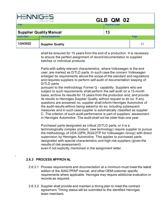| GLB QM 02<br>A ITON OTIVE      |                           |                       |      |
|--------------------------------|---------------------------|-----------------------|------|
| <b>Title</b>                   |                           | <b>Revision Level</b> |      |
| <b>Supplier Quality Manual</b> |                           | 13                    |      |
| <b>Issue Date</b>              | <b>Issuing Department</b> |                       | Page |
| 1/24/2022                      | <b>Supplier Quality</b>   |                       | 13   |

shall be ensured for 15 years from the end of a production. It is necessary to ensure the perfect assignment of record documentation to supplied batches or individual products.

Parts with safety relevant characteristics, where Volkswagen is the end user, are marked as D/TLD parts. In such case the concern Volkswagen enlarged its requirements above the scope of the standard and regulations and requires suppliers to perform self-audit of documentation keeping of D/TLD parts

pursuant to the methodology Formel Q - capability. Suppliers who are subject to such requirements shall perform the self-audit on a 12-month basis, archive its results for 15 years from the production end, and provide its results to Henniges Supplier Quality without request to do so. If any questions are answered no, supplier shall inform Henniges Automotive of the audit results without being asked to do so; including subsequent measures and in such case supplier is automatically classified as supplier C. The criterion of such audit performance is part of suppliers' assessment in Henniges Automotive. The audit shall not be older than one year.

Purchased parts designated as critical (D/TLD parts, or it is a technologically complex product, new technology) require supplier to pursue the methodology of VDA (QPN\_RGA/2TP for Volkswagen Group) with direct supervision by Henniges Automotive. This applies to purchased parts designated with special characteristics and high risk suppliers (given the results of risk assessment)

even if not explicitly mentioned in the assignment letter.

### **2.6.3 PROCESS APPROVAL**

-

- 2.6.3.1 Process requirements and documentation at a minimum must meet the latest edition of the AIAG PPAP manual, and other OEM customer specific requirements where applicable. Henniges may require additional evaluation or records as required.
- 2.6.3.2 Supplier shall provide and maintain a timing plan to meet the contract agreement. Timing status will be submitted to the identified Henniges team members.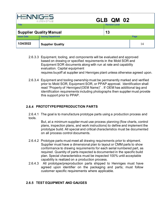| <b>HENNIGES</b><br>GLB QM 02<br>AUTOMOTIVE |                           |                       |      |
|--------------------------------------------|---------------------------|-----------------------|------|
| <b>Title</b>                               |                           | <b>Revision Level</b> |      |
| <b>Supplier Quality Manual</b>             |                           | 13                    |      |
| <b>Issue Date</b>                          | <b>Issuing Department</b> |                       | Page |
| 1/24/2022                                  | <b>Supplier Quality</b>   |                       | 14   |

- 2.6.3.3 Equipment, tooling, and components will be evaluated and approved based on drawing or specified requirements in the Mold SOR and Equipment SOR documents along with run at rate and capability evaluation. Capital equipment requires buyoff at supplier and Henniges plant unless otherwise agreed upon.
- 2.6.3.4 Equipment and tooling ownership must be permanently marked and verified prior to Mold SOR, Equipment SOR, or PPAP approval. Identification shall read "Property of Henniges/(OEM Name)" . If OEM has additional tag and identification requirements including photographs then supplier must provide this support prior to PPAP.

## **2.6.4 PROTOTYPE/PREPRODUCTION PARTS**

2.6.4.1 The goal is to manufacture prototype parts using a production process and tools.

But, at a minimum supplier must use process planning (flow charts, control plans, inspection plans, and work instructions) to define and implement the prototype build. All special and critical characteristics must be documented on all process control documents.

- 2.6.4.2 Prototype parts must meet all drawing requirements prior to shipment. Supplier must have a dimensional plan to layout or CMM parts to show conformance to drawing requirements for each serial numbered part, as required. Quantity of parts inspected is documented in the specific build plan. Special characteristics must be inspected 100% until acceptable capability is realized on a production process.
- 2.6.4.3 All prototype/preproduction parts shipped to Henniges must have agreed upon identifier on the packaging and parts; must follow customer specific requirements where applicable.

### **2.6.5 TEST EQUIPMENT AND GAUGES**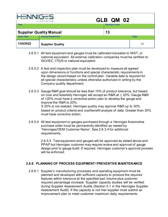| G – S<br>GLB QM 02<br>A ITON OTIVE   |                           |                       |      |
|--------------------------------------|---------------------------|-----------------------|------|
| <b>Title</b>                         |                           | <b>Revision Level</b> |      |
| <b>Supplier Quality Manual</b><br>13 |                           |                       |      |
| <b>Issue Date</b>                    | <b>Issuing Department</b> |                       | Page |
| 1/24/2022                            | <b>Supplier Quality</b>   |                       | 15   |

- 2.6.5.1 All test equipment and gauges must be calibrated traceable to NIST, or national equivalent. All external calibration companies must be certified to ISO/IEC 17025 or national equivalent.
- 2.6.5.2 A test and inspection plan must be developed to measure all agreed upon dimensions or functions and special characteristic requirements in the design record based on the control plan. Variable data is required for all special characteristics unless otherwise authorized in writing by the Company quality department.
- 2.6.5.3 Gauge R&R goal should be less than 10% of product tolerance, but based on cost and feasibility Henniges will accept an R&R at < 20%. Gauge R&R of >20% must have a corrective action plan to develop the gauge and improve the R&R to 20%. If 20% is not realized, Henniges quality may approve R&R up to 30% based on product criteria and cost/benefit analysis of data. Greater than 30% must have corrective action.
- 2.6.5.4 All test equipment or gauges purchased through a Henniges Automotive purchase order must be permanently identified as owned by "Henniges/OEM Customer Name". See 2.6.3.4 for additional requirements.

2.6.5.5 Test equipment and gauges will be approved as stated above and PPAP but Henniges customer may require review and approval of gauge design prior to gauge build. If required, Henniges customer's approval process will be enforced.

### **2.6.6 PLANNING OF PROCESS EQUIPMENT/ PREVENTIVE MAINTENANCE**

2.6.6.1 Supplier's manufacturing processes and operating equipment must be planned and developed with sufficient capacity to produce the required features within tolerance at the specified part volume plus customer required percentage increase. Supplier capacity studies will be verified during Supplier Assessment Audits (Section 5.1 in the Henniges Supplier Assessment Audit). If the capacity is not met supplier must submit an improvement plan to meet customer maximum daily requirements.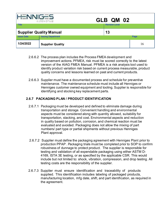| GLB QM 02<br>A ITON OTIVE      |                           |                       |      |
|--------------------------------|---------------------------|-----------------------|------|
| <b>Title</b>                   |                           | <b>Revision Level</b> |      |
| <b>Supplier Quality Manual</b> |                           | 13                    |      |
| <b>Issue Date</b>              | <b>Issuing Department</b> |                       | Page |
| 1/24/2022                      | <b>Supplier Quality</b>   |                       | 16   |

- 2.6.6.2 The process plan includes the Process FMEA development and improvement actions. PFMEA, risk must be scored correctly to the latest version of the AIAG FMEA Manual. PFMEA is a risk analysis tool used to identify product variation risk based on current process measurable, product quality concerns and lessons learned on past and current products.
- 2.6.6.3 Supplier must have a documented process and schedule for preventive maintenance. The maintenance schedule must include all Henniges or Henniges customer owned equipment and tooling. Supplier is responsible for identifying and stocking key replacement parts.

## **2.6.7 PACKAGING PLAN / PRODUCT IDENTIFICATION**

- 2.6.7.1 Packaging must be developed and defined to eliminate damage during transportation and storage. Convenient handling and environmental aspects must be considered along with quantity allowed, suitability for transportation, stacking, and cost. Environmental aspects and reduction in quality based on pollution, corrosion, and chemical reaction must be evaluated and avoided. Packaging does not allow the mixing of part numbers/ part type or partial shipments without previous Henniges Plant approval.
- 2.6.7.2 Supplier must define the packaging agreement with Henniges Plant prior to production PPAP . Packaging trials must be completed prior to SOP to confirm robustness of dunnage to protect product. The supplier is responsible for testing and validation of all expendable packaging using either ASTM D-4169, ISTA 3E testing, or as specified by the applicable CSR. This would include but not limited to: shock, vibration, compression, and drop testing. All testing costs are the responsibility of the supplier.
- 2.6.7.3 Supplier must ensure identification and traceability of products supplied. This identification includes labeling of packaged products, manufacturing location, mfg date, shift, and part identification, as required in the agreement.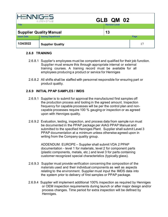| ___<br>GLB QM 02<br>AUTONOTIVE       |                           |                       |      |
|--------------------------------------|---------------------------|-----------------------|------|
| <b>Title</b>                         |                           | <b>Revision Level</b> |      |
| <b>Supplier Quality Manual</b><br>13 |                           |                       |      |
| <b>Issue Date</b>                    | <b>Issuing Department</b> |                       | Page |
| 1/24/2022                            | <b>Supplier Quality</b>   |                       | 17   |

#### **2.6.8 TRAINING**

- 2.6.8.1 Supplier's employees must be competent and qualified for their job function. Supplier must ensure this through appropriate internal or external training courses. A training record must be available for all employees producing a product or service for Henniges
- 2.6.8.2 All shifts shall be staffed with personnel responsible for ensuring part or product quality.

#### **2.6.9 INITIAL PPAP SAMPLES / IMDS**

- 2.6.9.1 Supplier is to submit for approval the manufactured first samples off the production process and tooling in the agreed amount. Inspection frequency for capable processes will be per the control plan and noncapable processes require 100 % gauging or inspection or as agreed upon with Henniges quality.
- 2.6.9.2 Evaluation, testing, inspection, and process data from sample run must be documented in the PPAP package per AIAG PPAP Manual and submitted to the specified Henniges Plant. Supplier shall submit Level 3 PPAP documentation at a minimum unless otherwise agreed upon in writing from the Company quality group.

ADDENDUM: EUROPE – Supplier shall submit VDA 2 PPAP documentation - level 1 for materials, level 2 for component parts (plastic components, metals, etc.) and level 3 for parts containing customer recognized special characteristics (typically glass).

- 2.6.9.3 Supplier must provide verification concerning the composition of the materials used and their individual components as well as aspects relating to the environment. Supplier must input the IMDS data into the system prior to delivery of first samples or PPAP package.
- 2.6.9.4 Supplier will implement additional 100% inspection as required by Henniges or OEM inspection requirements during launch or after major design and/or process changes. Time period for extra inspection will be defined by Henniges.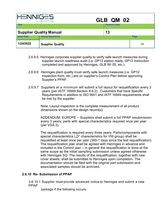| كصدر<br>GLB QM 02<br>A ITON OTIVE    |                           |                       |      |
|--------------------------------------|---------------------------|-----------------------|------|
| <b>Title</b>                         |                           | <b>Revision Level</b> |      |
| <b>Supplier Quality Manual</b><br>13 |                           |                       |      |
| <b>Issue Date</b>                    | <b>Issuing Department</b> |                       | Page |
| 1/24/2022                            | <b>Supplier Quality</b>   |                       | 18   |

- 2.6.9.5 Henniges corporate supplier quality to verify safe launch measures during supplier launch readiness audit (i.e. GP12 station ready, GP12 instruction completed and approved by Henniges, GLB WI 05, etc.).
- 2.6.9.6 Henniges plant quality must verify safe launch measures (i.e. GP12 inspection form, etc.) are on supplier's Control Plan before approving Supplier's PPAP.
- 2.6.9.7 Suppliers at a minimum will submit a full layout for requalification every 3 years (per IATF 16949 Section 8.6.2). Customers that have Specific Requirements in addition to ISO 9001 and IATF 16949 requirements shall be met by the supplier.

Note: Layout inspection is the complete measurement of all product dimensions shown on the design record(s).

ADDENDUM: EUROPE – Suppliers shall submit a full PPAP resubmission every 3 years; parts with special characteristics required once per year (per VDA 2).

The requalification is required every three years. Parts/components with special characteristics ("D" charecteristics for VW group) shall be requalified at least once per year (365-1 days since the last requalification). The requalification plan shall be agreed with Henniges in advance and included in the Control plan – in general the requalification is done at the same scope as the initial sampling submission unless agreed otherwise with Henniges SQ. The results of the requalification, together with new cover sheets, shall be submitted to Henniges upon completion. The documentation should be filed with the original part submission and associated samples should be archived.

### **2.6.10 Re- Submission of PPAP**

2.6.10.1 Supplier must provide advanced notice to Henniges and submit a new PPAP

package if the following occurs: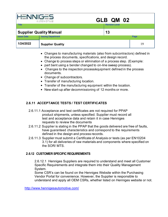| <b>HENNIGES</b><br>GLB QM 02<br>AUTOMOTIVE |                           |                       |      |
|--------------------------------------------|---------------------------|-----------------------|------|
| Title                                      |                           | <b>Revision Level</b> |      |
| <b>Supplier Quality Manual</b><br>13       |                           |                       |      |
| <b>Issue Date</b>                          | <b>Issuing Department</b> |                       | Page |
| 1/24/2022                                  | <b>Supplier Quality</b>   |                       | 19   |

- Changes to manufacturing materials (also from subcontractors) defined in the process documents, specifications, and design record.
- Change to process steps or elimination of a process step. (Example:
- part bent using a bender changed to on-line sweep process).
- Changes to the inspection process/equipment defined in the process documents.
- Change of subcontractors.
- Transfer of manufacturing location.
- Transfer of the manufacturing equipment within the location.
- New start-up after decommissioning of 12 months or more.

## **2.6.11 ACCEPTANCE TESTS / TEST CERTIFICATES**

- 2.6.11.1 Acceptance and test certificates are not required for PPAP product shipments, unless specified. Supplier must record all test and acceptance data and retain it in case Henniges requests to review the documents
- 2.6.11.2 Supplier is stating in the PPAP that the goods delivered are free of faults, have guaranteed characteristics and correspond to the requirements defined in the design and process records.
- 2.6.11.3 Supplier must submit a Certificate of Analysis or tests (as per EN10204 3.1) for all deliveries of raw materials and components where specified on the SOR/ MTS.

### **2.6.12 CUSTOMER SPECIFIC REQUIREMENTS**

2.6.12.1 Henniges Suppliers are required to understand and meet all Customer Specific Requirements and integrate them into their Quality Management System.

Some CSR's can be found on the Henniges Website within the Purchasing Vendor Portal for convenience. However, the Supplier is responsible to understand and apply all OEM CSRs, whether listed on Henniges website or not.

<http://www.hennigesautomotive.com/>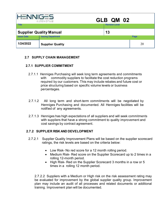| $G - 5$<br>GLB QM 02<br>A ITON OTIVE |                           |                       |      |
|--------------------------------------|---------------------------|-----------------------|------|
| <b>Title</b>                         |                           | <b>Revision Level</b> |      |
| <b>Supplier Quality Manual</b><br>13 |                           |                       |      |
| <b>Issue Date</b>                    | <b>Issuing Department</b> |                       | Page |
| 1/24/2022                            | <b>Supplier Quality</b>   |                       | 20   |

#### **2.7 SUPPLY CHAIN MANAGEMENT**

### **2.7.1 SUPPLIER COMMITMENT**

- 2.7.1.1 Henniges Purchasing will seek long term agreements and commitments with commodity suppliers to facilitate the cost reduction programs required by our customers. This may include rebates and future cost or price structuring based on specific volume levels or business percentages.
- 2.7.1.2 All long term and short-term commitments will be negotiated by Henniges Purchasing and documented. All Henniges facilities will be notified of any agreements.
- 2.7.1.3 Henniges has high expectations of all suppliers and will seek commitments with suppliers that have a strong commitment to quality improvement and cost savings by contract agreement.

### **2.7.2 SUPPLIER RISK AND DEVELOPMENT**

- 2.7.2.1 Supplier Quality Improvement Plans will be based on the supplier scorecard ratings, the risk levels are based on the criteria below:
	- Low Risk- No red score for a 12 month rolling period.
	- Medium Risk- Red score on the Supplier Scorecard up to 2 times in a rolling 12-month period.
	- High Risk- Red on the Supplier Scorecard 3 months in a row or 5 times in a rolling 12 month period.

2.7.2.2 Suppliers with a Medium or High risk on the risk assessment rating may be evaluated for improvement by the global supplier quality group. Improvement plan may include an audit of all processes and related documents or additional training. Improvement plan will be documented.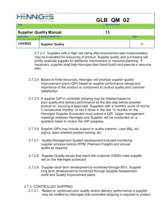| <b>HENNIGES</b>                | AUTOMOTIVE                | GLB QM 02             |      |
|--------------------------------|---------------------------|-----------------------|------|
| <b>Title</b>                   |                           | <b>Revision Level</b> |      |
| <b>Supplier Quality Manual</b> |                           | 13                    |      |
| <b>Issue Date</b>              | <b>Issuing Department</b> |                       | Page |
| 1/24/2022                      | <b>Supplier Quality</b>   |                       | 21   |

2.7.2.3 Suppliers with a High risk rating after improvement plan implementation may be evaluated for resourcing of product. Supplier quality and purchasing will jointly evaluate supplier for additional improvement or resource planning. If necessary, supplier shall help Henniges plan (bank build) and execute a resource plan.

- 2.7.2.4 Based on finite resources, Henniges will prioritize supplier quality improvement plans (QIP) based on supplier performance ratings and importance of the product or component to product quality and customer satisfaction.
- 2.7.2.5 A supplier QIP or controlled shipping may be initiated based on poor quality and delivery performance as the last step before possible product re- sourcing is approved. Suppliers with a monthly score of red for 3 consecutive months, or red 5 times in the last 12 months on the Henniges Supplier Scorecard must submit a QIP. Upper management meetings between Henniges and Supplier will be conducted on a quarterly basis to review the QIP progress.
- 2.7.2.6 Supplier QIPs may include support in quality systems, Lean Mfg, sixsigma, team oriented problem solving, etc.
- 2.7.2.7 Quality Management System development includes monitoring supplier process metrics (PPM, Premium Freight) and annual audits as required.
- 2.7.2.8 Supplier Quality issues that reach the customer (OEM) make supplier red on the Henniges scorecard.
- 2.7.2.9 Supplier short term development is monitored through 8D's. Supplier long term development is monitored through Supplier Assessment Audit and Quality Improvement plans.

### 2.7.3 CONTROLLED SHIPPING

2.7.3.1 Based on continued poor quality and/or delivery performance a supplier may be notified by Henniges that controlled shipping is required to protect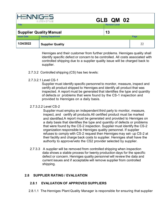| <b>HENNIGES</b><br>GLB QM 02<br>A ITON OTIVE |                           |                       |      |
|----------------------------------------------|---------------------------|-----------------------|------|
| <b>Title</b>                                 |                           | <b>Revision Level</b> |      |
| <b>Supplier Quality Manual</b>               |                           | 13                    |      |
| <b>Issue Date</b>                            | <b>Issuing Department</b> |                       | Page |
| 1/24/2022                                    | <b>Supplier Quality</b>   |                       | 22   |

Henniges and their customer from further problems. Henniges quality shall identify specific defect or concern to be controlled. All costs associated with controlled shipping due to a supplier quality issue will be charged back to supplier.

- 2.7.3.2 Controlled shipping (CS) has two levels:
- 2.7.3.2.1 Level CS-1

Supplier must identify specific personnel to monitor, measure, inspect and certify all product shipped to Henniges and identify all product that was inspected. A report must be generated that identifies the type and quantity of defects or problems that were found by the CS-1 inspection and provided to Henniges on a daily basis.

### 2.7.3.2.2 Level CS-2

Supplier must employ an independent third party to monitor, measure, inspect, and certify all products.All certified product must be marked and identified.A report must be generated and provided to Henniges on a daily basis that identifies the type and quantity of defects or problems that were found by the CS-2 inspection. Supplier must identify the CS-2 organization responsible to Henniges quality personnel. If supplier refuses to comply with CS-2 request then Henniges may set- up CS-2 at their facility and charge back costs to supplier. Henniges shall have the authority to approve/veto the CS2 provider selected by supplier.

2.7.3.3 A supplier will be removed from controlled shipping when inspection data shows a stable process for twenty production days for the specific defect or concern. Henniges quality personnel will review the data and current issues and if acceptable will remove supplier from controlled shipping.

### **2.8 SUPPLIER RATING / EVALUATION**

### **2.8.1 EVALUATION OF APPROVED SUPPLIERS**

2.8.1.1 The Henniges Plant Quality Manager is responsible for ensuring that supplier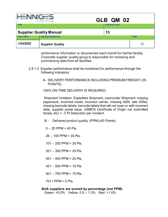|                                | A ITON OTIVE              | GLB QM 02             |      |
|--------------------------------|---------------------------|-----------------------|------|
| <b>Title</b>                   |                           | <b>Revision Level</b> |      |
| <b>Supplier Quality Manual</b> |                           | 13                    |      |
| <b>Issue Date</b>              | <b>Issuing Department</b> |                       | Page |
| 1/24/2022                      | <b>Supplier Quality</b>   |                       | 23   |

performance information is documented each month for his/her facility. Corporate supplier quality group is responsible for reviewing and summarizing data from all facilities.

- 2.8.1.2 Supplier performance shall be monitored for performance through the following indicators:
	- A- DELIVERY PERFORMANCE INCLUDING PREMIUM FREIGHT (35 POINTS).

100% ON-TIME DELIVERY IS REQUIRED.

Shipment Violation: Expedited Shipment, over/under Shipment missing paperwork, incorrect mode, incorrect carrier, missing ASN, late ASNs, missing barcode labels, barcode labels that will not scan or with incorrect data, supplier portal issue, USMCA Certificate of Origin not submitted timely,  $etc$ ) = -3 Pt Deduction per Incident.

B - Delivered product quality (PPM) (40 Points).

- $0 25$  PPM = 40 Pts
- 26 100 PPM = 35 Pts.
- $101 200$  PPM = 30 Pts.
- $201 300$  PPM = 25 Pts.
- $301 400$  PPM = 20 Pts.
- 401 500 PPM = 15 Pts.
- $501 700$  PPM = 10 Pts.

 $701 + PPM = 0$  Pts.

#### **Bulk suppliers are scored by percentage (not PPM).**

Green: <0.5% Yellow: 0.5 – 1.0% Red: >1.0%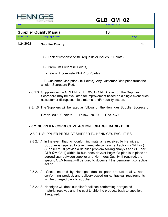|                                | AUTOMOTIVE                | GLB QM 02             |      |
|--------------------------------|---------------------------|-----------------------|------|
| <b>Title</b>                   |                           | <b>Revision Level</b> |      |
| <b>Supplier Quality Manual</b> |                           | 13                    |      |
| <b>Issue Date</b>              | <b>Issuing Department</b> |                       | Page |
| 1/24/2022                      | <b>Supplier Quality</b>   |                       | 24   |

C- Lack of response to 8D requests or issues (5 Points).

- D- Premium Freight (5 Points).
- E- Late or Incomplete PPAP (5 Points).

 F- Customer Disruption (10 Points)- Any Customer Disruption turns the whole Scorecard Red.

- 2.8.1.3 Suppliers with a GREEN, YELLOW, OR RED rating on the Supplier Scorecard may be evaluated for improvement based on a single event such as customer disruptions, field returns, and/or quality issues.
- 2.8.1.6 The Suppliers will be rated as follows on the Henniges Supplier Scorecard:

Green- 80-100 points Yellow- 70-79 Red- ≤69

### **2.8.2 SUPPLIER CORRECTIVE ACTION / CHARGE BACK / DEBIT**

### 2.8.2.1 SUPPLIER PRODUCT SHIPPED TO HENNIGES FACILITIES

- 2.8.2.1.1 In the event that non-conforming material is received by Henniges. Supplier is required to take immediate containment action (< 24 Hrs.). Supplier must provide a detailed problem solving analysis and 8D (per GLB QM-02-1) within 10 business days or longer if a plan is in place as agreed upon between supplier and Henniges Quality. If required, the specific OEM format will be used to document the permanent corrective action.
- 2.8.2.1.2 Costs incurred by Henniges due to poor product quality, nonconforming product, and delivery based on contractual requirements will be charged back to supplier.
- 2.8.2.1.3 Henniges will debit supplier for all non-conforming or rejected material received and the cost to ship the products back to supplier, if required.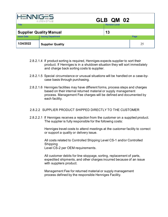| <b>HENNIGES</b><br>GLB QM 02<br>A ITON OTIVE |                                      |                       |      |
|----------------------------------------------|--------------------------------------|-----------------------|------|
| <b>Title</b>                                 |                                      | <b>Revision Level</b> |      |
|                                              | <b>Supplier Quality Manual</b><br>13 |                       |      |
| <b>Issue Date</b>                            | <b>Issuing Department</b>            |                       | Page |
| 1/24/2022                                    | <b>Supplier Quality</b>              |                       | 25   |

- 2.8.2.1.4 If product sorting is required, Henniges expects supplier to sort their product. If Henniges is in a shutdown situation they will sort immediately and charge back sorting costs to supplier.
- 2.8.2.1.5 Special circumstance or unusual situations will be handled on a case-bycase basis through purchasing.
- 2.8.2.1.6 Henniges facilities may have different forms, process steps and charges based on their internal returned material or supply management process. Management Fee charges will be defined and documented by each facility.

#### 2.8.2.2 SUPPLIER PRODUCT SHIPPED DIRECTLY TO THE CUSTOMER

2.8.2.2.1 If Henniges receives a rejection from the customer on a supplied product. The supplier is fully responsible for the following costs:

> Henniges travel costs to attend meetings at the customer facility to correct or support a quality or delivery issue.

All costs related to Controlled Shipping Level CS-1 and/or Controlled Shipping Level CS-2 per OEM requirements.

All customer debits for line stoppage, sorting, replacement of parts, expedited shipments, and other charges incurred because of an issue with suppliers product.

Management Fee for returned material or supply management process defined by the responsible Henniges Facility.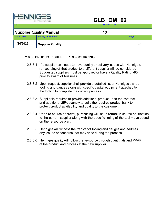| <b>HENNIGES</b><br>GLB QM 02<br>AUTOMOTIVE |                           |                       |      |
|--------------------------------------------|---------------------------|-----------------------|------|
| <b>Title</b>                               |                           | <b>Revision Level</b> |      |
| <b>Supplier Quality Manual</b>             |                           | 13                    |      |
| <b>Issue Date</b>                          | <b>Issuing Department</b> |                       | Page |
| 1/24/2022                                  | <b>Supplier Quality</b>   |                       | 26   |

## **2.8.3 PRODUCT / SUPPLIER RE-SOURCING**

- 2.8.3.1 If a supplier continues to have quality or delivery issues with Henniges, re- sourcing of that product to a different supplier will be considered. Suggested suppliers must be approved or have a Quality Rating >80 prior to award of business.
- 2.8.3.2 Upon request, supplier shall provide a detailed list of Henniges owned tooling and gauges along with specific capital equipment attached to the tooling to complete the current process.
- 2.8.3.3 Supplier is required to provide additional product up to the contract and additional 25% quantity to build the required product bank to protect product availability and quality to the customer.
- 2.8.3.4 Upon re-source approval, purchasing will issue formal re-source notification to the current supplier along with the specific timing of the tool move based on the re-source plan.
- 2.8.3.5 Henniges will witness the transfer of tooling and gauges and address any issues or concerns that may arise during the process.
- 2.8.3.6 Henniges quality will follow the re-source through plant trials and PPAP of the product and process at the new supplier.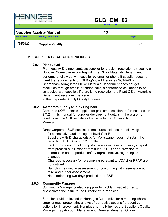| <b>HENNIGES</b><br>GLB QM 02<br>AUTOMOTIVE |                           |                       |      |
|--------------------------------------------|---------------------------|-----------------------|------|
| <b>Title</b>                               |                           | <b>Revision Level</b> |      |
| <b>Supplier Quality Manual</b><br>13       |                           |                       |      |
| <b>Issue Date</b>                          | <b>Issuing Department</b> |                       | Page |
| 1/24/2022                                  | <b>Supplier Quality</b>   |                       | 27   |

## **2.9 SUPPLIER ESCALATION PROCESS**

#### **2.9.1 Plant Level**

Plant quality Engineer contacts supplier for problem resolution by issuing a Supplier Corrective Action Report. The QE or Materials Department performs a follow up with supplier by email or phone if supplier does not meet the requirements of (GLB QM-02-1 Henniges SCAR-8D-Chargeback form).If the QE or Materials Department does not get resolution through emails or phone calls, a conference call needs to be scheduled with supplier. If there is no resolution the Plant QE or Materials Department escalates the issue

to the corporate Supply Quality Engineer.

## **2.9.2 Corporate Supply Quality Engineer**

Corporate SQE contacts supplier for problem resolution, reference section 2.7.2 in this manual for supplier development details. If there are no resolutions, the SQE escalates the issue to the Commodity Manager.

Other Corporate SQE escalation measures includes the following:

2x consecutive audit ratings at level C or B

Suppliers with D characteristic for Volkswagen does not retain the records of D/TLD within 12 months

Lack of provision of following documents in case of urgency - report from process audit, report from audit D/TLD or no provision of information on the product safety representative, regarding its changes

Changes necessary for re-sampling pursuant to VDA 2 or PPAP are not notified

Sampling refused in assessment or conforming with reservation at third and further assessment

Non-conforming two-days production or R&R

### **2.9.3 Commodity Manager**

Commodity Manager contacts supplier for problem resolution, and/ or escalates the issue to the Director of Purchasing.

Supplier could be invited to Henniges Automotive for a meeting where supplier must present the analysis / corrective actions / preventive actions for improvement. Henniges normally invites the Supplier's Quality Manager, Key Account Manager and General Manager/ Owner.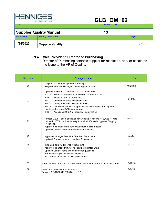|                   | A ITON OTIVE                   | GLB QM 02             |      |
|-------------------|--------------------------------|-----------------------|------|
| <b>Title</b>      |                                | <b>Revision Level</b> |      |
|                   | <b>Supplier Quality Manual</b> | 13                    |      |
| <b>Issue Date</b> | <b>Issuing Department</b>      |                       | Page |
| 1/24/2022         | <b>Supplier Quality</b>        |                       | 28   |

### **2.9.4 Vice President/ Director or Purchasing**

Director of Purchasing contacts supplier for resolution, and/ or escalates the issue to the VP of Quality.

| <b>Revision</b> | <b>Changes Made:</b>                                                                                                                                                                                                                                                                                                                                                                                                  | Date:    |
|-----------------|-----------------------------------------------------------------------------------------------------------------------------------------------------------------------------------------------------------------------------------------------------------------------------------------------------------------------------------------------------------------------------------------------------------------------|----------|
| 01              | Original GDX Manual updated to Henniges<br>Requirements and Henniges Numbering and Format                                                                                                                                                                                                                                                                                                                             | 10/28/08 |
| 02              | Updated to ISO 9001:2008 and ISO/TS 16949:2009<br>2.2.2 - Updated to ISO 9001:2008 and ISO/TS 16949:2009<br>2.2.6 - Updated to ISO/TS 16949:2009<br>2.6.3.1 - Changed ECAP to Equipment SOR<br>2.6.3.3 - Changed ECAP to Equipment SOR<br>2.6.3.4 – Added supplier must support additional ownership marking with<br>photographs to new OEM requirements<br>2.6.5.4 – Added see 2.6.3.4 for additional identification | 10/14/09 |
| 03              | Revised 2.8.1.1, score deduction for Shipping Violations to -3, was -5. Also<br>added in 100% on-time delivery is required. Expanded types of Shipping<br>Violations.<br>Approvers changed from Tom Waterstradt to Nick Shebib.<br>Updated Contact name and numbers for questions.                                                                                                                                    | 7/11/12  |
| 04              | Approvers changed from Nick Shebib to Steve Hollatz.<br>Updated Contact name and numbers for questions.                                                                                                                                                                                                                                                                                                               | 3/8/17   |
| 05              | 2.2.2 and 2.2.6 Added IATF 16949: 2016<br>Approvers changed from Steve Hollatz to Michael Sharp<br>Updated Contact name and numbers for questions.<br>2.9 Added Supplier Escalation Process.<br>2.4.1 Added proactive supplier assessments.                                                                                                                                                                           | 3/2/18   |
| 06              | Added section 2.6.9.5 and 2.6.9.6. added link to 8d form (GLB QM-02-01 form)                                                                                                                                                                                                                                                                                                                                          | 3/28/18  |
| 07              | Added 2.2.7 MMOG/LE requirement.<br>Remove ISO/TS 16949:2009 Section 2.2                                                                                                                                                                                                                                                                                                                                              | 6/3/19   |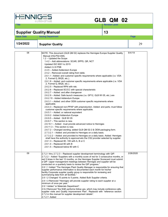| <b>HENNIGES</b><br>A ITON OTIVE |                           | GLB QM 02                                                                     |        |  |
|---------------------------------|---------------------------|-------------------------------------------------------------------------------|--------|--|
| l Title                         |                           | <b>Revision Level</b>                                                         |        |  |
| <b>Supplier Quality Manual</b>  |                           | 13                                                                            |        |  |
| <b>Issue Date</b>               | <b>Issuing Department</b> |                                                                               | Page   |  |
| 1/24/2022                       | <b>Supplier Quality</b>   |                                                                               | 29     |  |
| 08                              |                           | NOTE: This document (GLB QM 02) replaces the Henniges Europe Supplier Quality | 9/4/19 |  |

| 08 | NOTE: This document (GLB QM 02) replaces the Henniges Europe Supplier Quality<br>Manual (HQ-P02-008).<br>$1.2 -$ Updated the Scope<br>1.4.2 - Add abbreviations: SCAR, SPPS, QR, NCT<br>Updated ISO 9001 to 2015<br>Added 2.2.8 PSB<br>2.4.5 - Added Addendum Europe<br>2.5.2 – Removed overall rating from table.<br>2.6.1.1 - Added: and customer specific requirements where applicable (i.e. VDA<br>2, Formel Q, BIQS, etc.).<br>2.6.1.8 - Added: and customer specific requirements where applicable (i.e. VDA<br>2, Formel Q, BIQS, etc.).<br>2.6.2.5 - Replaced RPN with risk.<br>2.6.2.6 - Replaced SC/CC with special characteristic<br>2.6.2.7 - Added: and after changeover<br>2.6.2.9 - Added: Safe launch measures (i.e. GP12, GLB WI 05, etc.) are<br>2.6.2.10 - Added Addendum Europe<br>2.6.3.1 – Added: and other OEM customer specific requirements where<br>applicable.<br>2.6.4.3 - Replaced non-PPAP with preproduction. Added: and parts; must follow<br>customer specific requirements where applicable.<br>2.6.5.1 - Added: or national equivalent<br>2.6.9.2 - Added Addendum Europe<br>2.6.9.5 - Added: GLB WI 05<br>$2.6.9.7 - This section is new.$<br>2.6.10.1 - Added: must provide advanced notice to Henniges<br>$2.6.11.3 -$ This section is new.<br>2.6.7.2 - Changed wording; added GLB QM 02-2 & OEM packaging form.<br>2.7.3.2.1 - Added: and provided to Henniges on a daily basis. | 9/4/19    |
|----|---------------------------------------------------------------------------------------------------------------------------------------------------------------------------------------------------------------------------------------------------------------------------------------------------------------------------------------------------------------------------------------------------------------------------------------------------------------------------------------------------------------------------------------------------------------------------------------------------------------------------------------------------------------------------------------------------------------------------------------------------------------------------------------------------------------------------------------------------------------------------------------------------------------------------------------------------------------------------------------------------------------------------------------------------------------------------------------------------------------------------------------------------------------------------------------------------------------------------------------------------------------------------------------------------------------------------------------------------------------------------------------------------------------------------|-----------|
|    | 2.7.3.2.2 - Added: and provided to Henniges on a daily basis. Added: Henniges<br>shall have the authority to approve/veto the CS2 provider selected by supplier.<br>$2.8.1.3$ – Replaced 80 -100 with A, B or C<br>$2.8.1.4$ – Replaced 80 with B<br>$2.8.1.5$ – Replaced below 80 with C                                                                                                                                                                                                                                                                                                                                                                                                                                                                                                                                                                                                                                                                                                                                                                                                                                                                                                                                                                                                                                                                                                                                 |           |
| 09 | 2.7.2.1 thru 2.7.2.3 - Replaced supplier development terminology with QIP.<br>2.7.2.2 - Added "Suppliers with a monthly score of red for 3 consecutive months, or<br>red 5 times in the last 12 months, on the Henniges Supplier Scorecard must submit<br>a QIP. Upper management meetings between Henniges and supplier will be<br>conducted on a quarterly basis to review the QIP progress."<br>2.8.1.1 Added "The Henniges Plant Quality Manager is responsible for ensuring that<br>supplier performance information is documented each month for his/her<br>facility. Corporate supplier quality group is responsible for reviewing and<br>summarizing data from all facilities."<br>2.8.1.2 Changed 10 points to 5 points. Added Bulk Supplier criteria.<br>2.8.1.3 Removed "Henniges will provide supplier rating to each supplier at a<br>minimum of once per year."<br>2.9.1 Added "or Materials Department".<br>2.9.2 Removed "the SQE performs follow ups, which may include conference calls,<br>supplier visits and Quality Improvement Plan". Replaced with "reference section<br>2.7.2 in this manual for supplier development details".<br>2.7.2.7- Added                                                                                                                                                                                                                                                | 2/26/2020 |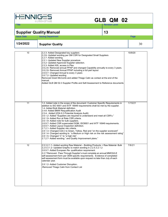| <b>NNIG</b>       | <b>AUTOMOTIVE</b>                                                                                                                                                                                                                                                                                                                                                                                                                                                                                                                                                                                                                                                                                                                                                                                                                                                                                                          | GLB QM 02             |         |
|-------------------|----------------------------------------------------------------------------------------------------------------------------------------------------------------------------------------------------------------------------------------------------------------------------------------------------------------------------------------------------------------------------------------------------------------------------------------------------------------------------------------------------------------------------------------------------------------------------------------------------------------------------------------------------------------------------------------------------------------------------------------------------------------------------------------------------------------------------------------------------------------------------------------------------------------------------|-----------------------|---------|
| Title             |                                                                                                                                                                                                                                                                                                                                                                                                                                                                                                                                                                                                                                                                                                                                                                                                                                                                                                                            | <b>Revision Level</b> |         |
|                   | <b>Supplier Quality Manual</b>                                                                                                                                                                                                                                                                                                                                                                                                                                                                                                                                                                                                                                                                                                                                                                                                                                                                                             | 13                    |         |
| <b>Issue Date</b> | <b>Issuing Department</b>                                                                                                                                                                                                                                                                                                                                                                                                                                                                                                                                                                                                                                                                                                                                                                                                                                                                                                  |                       | Page    |
| 1/24/2022         | <b>Supplier Quality</b>                                                                                                                                                                                                                                                                                                                                                                                                                                                                                                                                                                                                                                                                                                                                                                                                                                                                                                    |                       | 30      |
| 10                | 2.2.3- Added Designated key suppliers<br>2.2.6- Updated wording per GM CSR for Designated Small Suppliers<br>2.2.7- Added wording<br>2.5.1- Updated New Supplier procedure<br>2.5.2- Updated Approved Supplier selection.<br>2.5.3- Added ASL access in Plex.<br>2.6.2.6- Removed annual PPAP and changed Capability annually to every 3 years.<br>2.6.2.8- Removed Annual PPAP including a full part layout<br>2.6.9.7- Changed Annual to every 3 years<br>2.6.7.2- Updated wording<br>Removed Grant McComb and added Thiago Calin as contact at the end of the<br>manual.<br>Added GLB QM 02-3 Supplier Profile and Self-Assessment to Reference documents                                                                                                                                                                                                                                                               |                       | 10/9/20 |
| 11                | 1.2- Added note in the scope of the document: Customer Specific Requirements in<br>addition to ISO 9001 and IATF 16949 requirements shall be met by the supplier.<br>1.4- Added Bulk Material definition.<br>2.4.6- Added BMW Requalification Audit<br>2.5.4- Added (VDA 6.3 Potential Analysis Audit)<br>2.6.1.2- Added "Suppliers are required to understand and meet all CSR's."<br>2.6.1.9- Added Run at Rate CSR criteria.<br>2.6.1.9- Added note for bulk suppliers.<br>2.6.9.7- Added CSR superceded SQM, ISO9001 and IATF 16949 requirements.<br>2.6.9.7- Added Layout Inspection definition.<br>2.7.2.1- Added Supplier risk criteria.<br>2.8.1.3- Changed A,B,C to Green, Yellow, Red and "on the supplier scorecard"<br>2.8.1.4- Changed wording to "a Medium or High risk on the risk assessment rating"<br>2.8.1.5- Changed 'C" to "a high risk".<br>2.7.2.7- Added wording " and Quality Improvement plans." |                       | 1/15/21 |
| 12                | 2.5.3.2.1.1- Added wording Raw Material - Building Products + Raw Material- Bulk<br>2.2.5.3.1.2- Updated Graphic to match wording in 2.2.5.3.2.1.2<br>2.6.9.7- Added European Re- qualification requirement.<br>2.2.7 Removed- Pass Through Supplier's must complete an annual MMOG/LE<br>self-assessment form per OEM specific requirements. Evidence of completed<br>self-assessment form must be available upon request no later than July of each                                                                                                                                                                                                                                                                                                                                                                                                                                                                      |                       | 7/6/21  |

calendar year.

2.8.1.2- Added Customer Disruption. -Removed Thiago Calin from Contact List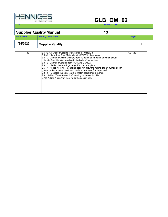| <b>HENNIGES</b><br>GLB QM 02<br>A ITON OTIVE |                                                                                                                                                                                                                                                                                                                                                                                                                                                                                                                                                                                                                                                                                                                                           |                       |         |  |  |
|----------------------------------------------|-------------------------------------------------------------------------------------------------------------------------------------------------------------------------------------------------------------------------------------------------------------------------------------------------------------------------------------------------------------------------------------------------------------------------------------------------------------------------------------------------------------------------------------------------------------------------------------------------------------------------------------------------------------------------------------------------------------------------------------------|-----------------------|---------|--|--|
| <b>Title</b>                                 |                                                                                                                                                                                                                                                                                                                                                                                                                                                                                                                                                                                                                                                                                                                                           | <b>Revision Level</b> |         |  |  |
| <b>Supplier Quality Manual</b>               |                                                                                                                                                                                                                                                                                                                                                                                                                                                                                                                                                                                                                                                                                                                                           | 13                    |         |  |  |
| <b>Issue Date</b>                            | <b>Issuing Department</b>                                                                                                                                                                                                                                                                                                                                                                                                                                                                                                                                                                                                                                                                                                                 |                       | Page    |  |  |
| 1/24/2022                                    | <b>Supplier Quality</b>                                                                                                                                                                                                                                                                                                                                                                                                                                                                                                                                                                                                                                                                                                                   |                       | 31      |  |  |
| 13                                           | 2.5.3.2.1.1- Added wording- Raw Material - WHS/DIST<br>2.5.3.2.1.2- Added Raw Material - WHS/DIST to the graphic.<br>2.8.1.2- Changed Ontime Delivery from 40 points to 35 points to match actual<br>points in Plex. Updated wording in the body of the section.<br>2.8.1.2- Changed wording from NAFTA to USMCA<br>2.8.2.1.1 Added the wording-longer if a plan is in place<br>2.6.7.1- Added wording- Packaging does not allow the mixing of part numbers/ part<br>type or partial shipments without previous Henniges Plant approval.<br>2.8.1.6 – Updated the point totals to match actual Points in Plex.<br>2.8.2- Added "Corrective Action" wording to the section title.<br>2.7.2- Added "Risk And" wording to the section title. |                       | 1/24/22 |  |  |